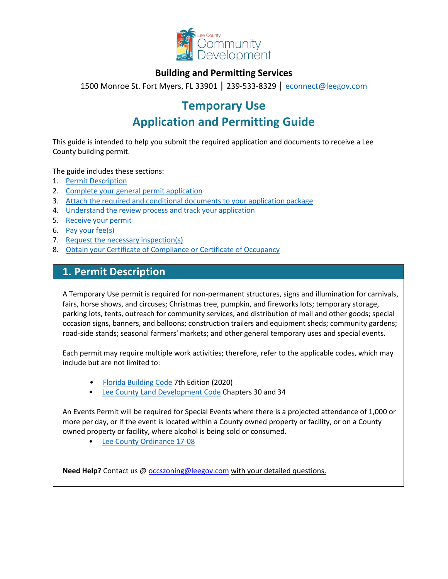

## **Building and Permitting Services**

1500 Monroe St. Fort Myers, FL 33901 | 239-533-8329 | [econnect@leegov.com](mailto:econnect@leegov.com)

# **Temporary Use**

# **Application and Permitting Guide**

This guide is intended to help you submit the required application and documents to receive a Lee County building permit.

The guide includes these sections:

- 1. Permit [Description](#page-0-0)
- 2. [Complete your general permit](#page-1-0) application
- 3. [Attach the required and conditional documents to your application](#page-3-0) package
- 4. [Understand the review process and track your](#page-5-0) application
- 5. [Receive your](#page-6-0) permit
- 6. [Pay your](#page-6-1) fee(s)
- 7. [Request the necessary](#page-6-2) inspection(s)
- 8. [Obtain your Certificate of Compliance or Certificate of](#page-7-0) Occupancy

## <span id="page-0-0"></span>**1. Permit Description**

A Temporary Use permit is required for non-permanent structures, signs and illumination for carnivals, fairs, horse shows, and circuses; Christmas tree, pumpkin, and fireworks lots; temporary storage, parking lots, tents, outreach for community services, and distribution of mail and other goods; special occasion signs, banners, and balloons; construction trailers and equipment sheds; community gardens; road-side stands; seasonal farmers' markets; and other general temporary uses and special events.

Each permit may require multiple work activities; therefore, refer to the applicable codes, which may include but are not limited to:

- [Florida Building Code](https://codes.iccsafe.org/codes/florida) 7th Edition (2020)
- [Lee County Land Development Code](https://library.municode.com/fl/lee_county/codes/land_development_code?nodeId=LADECOLECOFL) Chapters 30 and 34

An Events Permit will be required for Special Events where there is a projected attendance of 1,000 or more per day, or if the event is located within a County owned property or facility, or on a County owned property or facility, where alcohol is being sold or consumed.

• [Lee County Ordinance](https://www.leegov.com/bocc/Ordinances/17-08.pdf) 17-08

**Need Help?** Contact us @ **occszoning@leegov.com** with your detailed questions.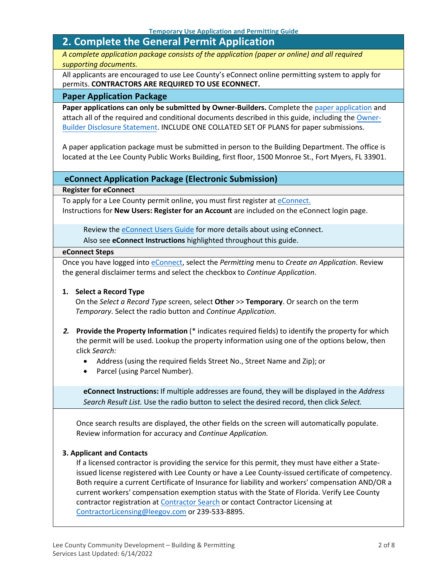## <span id="page-1-0"></span>**2. Complete the General Permit Application**

*A complete application package consists of the application (paper or online) and all required supporting documents.*

All applicants are encouraged to use Lee County's eConnect online permitting system to apply for permits. **CONTRACTORS ARE REQUIRED TO USE ECONNECT.**

#### **Paper Application Package**

**Paper applications can only be submitted by Owner-Builders.** Complete the [paper application](https://www.leegov.com/dcd/PermittingDocs/TemporaryUsePermitApplication.pdf) and attach all of the required and conditional documents described in this guide, including the [Owner-](https://www.leegov.com/dcd/PermittingDocs/OwnerBldrDisclosure.pdf)[Builder Disclosure Statement.](https://www.leegov.com/dcd/PermittingDocs/OwnerBldrDisclosure.pdf) INCLUDE ONE COLLATED SET OF PLANS for paper submissions.

A paper application package must be submitted in person to the Building Department. The office is located at the Lee County Public Works Building, first floor, 1500 Monroe St., Fort Myers, FL 33901.

## **eConnect Application Package (Electronic Submission)**

**Register for eConnect**

To apply for a Lee County permit online, you must first register a[t eConnect.](https://accelaaca.leegov.com/aca/) Instructions for **New Users: Register for an Account** are included on the eConnect login page.

Review the [eConnect Users Guide](https://www.leegov.com/dcd/Documents/eServ/eConnect/eServicesGuide.pdf) for more details about using eConnect.

Also see **eConnect Instructions** highlighted throughout this guide.

#### **eConnect Steps**

Once you have logged int[o eConnect, s](https://accelaaca.leegov.com/aca/)elect the *Permitting* menu to *Create an Application*. Review the general disclaimer terms and select the checkbox to *Continue Application*.

#### **1. Select a Record Type**

On the *Select a Record Type* screen, select **Other** >> **Temporary**. Or search on the term *Temporary*. Select the radio button and *Continue Application*.

- *2.* **Provide the Property Information** (\* indicates required fields) to identify the property for which the permit will be used. Lookup the property information using one of the options below, then click *Search:*
	- Address (using the required fields Street No., Street Name and Zip); or
	- Parcel (using Parcel Number).

**eConnect Instructions:** If multiple addresses are found, they will be displayed in the *Address Search Result List.* Use the radio button to select the desired record, then click *Select.*

Once search results are displayed, the other fields on the screen will automatically populate. Review information for accuracy and *Continue Application.*

#### **3. Applicant and Contacts**

If a licensed contractor is providing the service for this permit, they must have either a Stateissued license registered with Lee County or have a Lee County-issued certificate of competency. Both require a current Certificate of Insurance for liability and workers' compensation AND/OR a current workers' compensation exemption status with the State of Florida. Verify Lee County contractor registration a[t Contractor Search](https://www.leegov.com/dcd/ContLic/ActCont) or contact Contractor Licensing at [ContractorLicensing@leegov.com](mailto:ContractorLicensing@leegov.com) or 239-533-8895.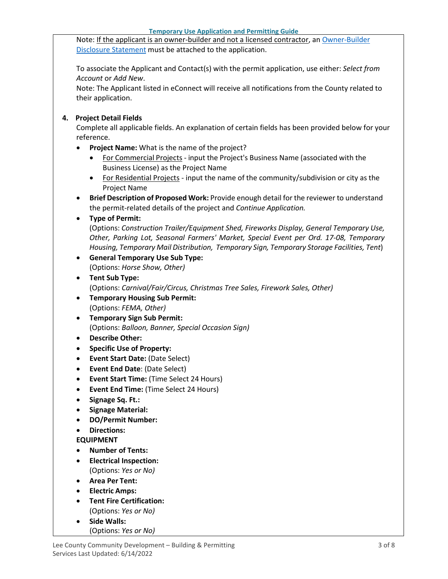Note: If the applicant is an owner-builder and not a licensed contractor, a[n Owner-Builder](https://www.leegov.com/dcd/PermittingDocs/OwnerBldrDisclosure.pdf) [Disclosure Statement](https://www.leegov.com/dcd/PermittingDocs/OwnerBldrDisclosure.pdf) must be attached to the application.

To associate the Applicant and Contact(s) with the permit application, use either: *Select from Account* or *Add New*.

Note: The Applicant listed in eConnect will receive all notifications from the County related to their application.

### **4. Project Detail Fields**

Complete all applicable fields. An explanation of certain fields has been provided below for your reference.

- **Project Name:** What is the name of the project?
	- For Commercial Projects input the Project's Business Name (associated with the Business License) as the Project Name
	- For Residential Projects input the name of the community/subdivision or city as the Project Name
- **Brief Description of Proposed Work:** Provide enough detail for the reviewer to understand the permit-related details of the project and *Continue Application.*

### • **Type of Permit:**

(Options: *Construction Trailer/Equipment Shed, Fireworks Display, General Temporary Use, Other, Parking Lot, Seasonal Farmers' Market, Special Event per Ord. 17-08, Temporary Housing, Temporary Mail Distribution, Temporary Sign, Temporary Storage Facilities, Tent*)

- **General Temporary Use Sub Type:** (Options: *Horse Show, Other)*
- **Tent Sub Type:** (Options: *Carnival/Fair/Circus, Christmas Tree Sales, Firework Sales, Other)*
- **Temporary Housing Sub Permit:** (Options: *FEMA, Other)*
- **Temporary Sign Sub Permit:** (Options: *Balloon, Banner, Special Occasion Sign)*
- **Describe Other:**
- **Specific Use of Property:**
- **Event Start Date:** (Date Select)
- **Event End Date**: (Date Select)
- **Event Start Time:** (Time Select 24 Hours)
- **Event End Time:** (Time Select 24 Hours)
- **Signage Sq. Ft.:**
- **Signage Material:**
- **DO/Permit Number:**
- **Directions:**

### **EQUIPMENT**

- **Number of Tents:**
- **Electrical Inspection:** (Options: *Yes or No)*
- **Area Per Tent:**
- **Electric Amps:**
- **Tent Fire Certification:** (Options: *Yes or No)*
- **Side Walls:** (Options: *Yes or No)*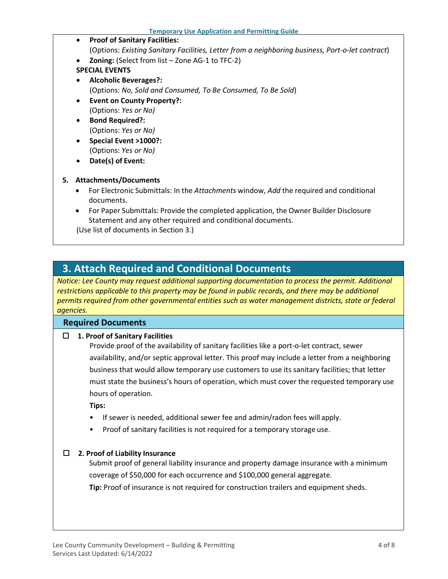- **Proof of Sanitary Facilities:** (Options: *Existing Sanitary Facilities, Letter from a neighboring business, Port-o-let contract*)
	- **Zoning:** (Select from list Zone AG-1 to TFC-2)

## **SPECIAL EVENTS**

- **Alcoholic Beverages?:** (Options: *No, Sold and Consumed, To Be Consumed, To Be Sold*)
- **Event on County Property?:** (Options: *Yes or No)*
- **Bond Required?:** (Options: *Yes or No)*
- **Special Event >1000?:** (Options: *Yes or No)*
- **Date(s) of Event:**

## **5. Attachments/Documents**

- For Electronic Submittals: In the *Attachments* window, *Add* the required and conditional documents.
- For Paper Submittals: Provide the completed application, the Owner Builder Disclosure Statement and any other required and conditional documents.

(Use list of documents in Section 3.)

## <span id="page-3-0"></span>**3. Attach Required and Conditional Documents**

*Notice: Lee County may request additional supporting documentation to process the permit. Additional restrictions applicable to this property may be found in public records, and there may be additional permits required from other governmental entities such as water management districts, state or federal agencies.*

## **Required Documents**

**1. Proof of Sanitary Facilities**

Provide proof of the availability of sanitary facilities like a port-o-let contract, sewer availability, and/or septic approval letter. This proof may include a letter from a neighboring business that would allow temporary use customers to use its sanitary facilities; that letter must state the business's hours of operation, which must cover the requested temporary use hours of operation.

**Tips:**

- If sewer is needed, additional sewer fee and admin/radon fees will apply.
- Proof of sanitary facilities is not required for a temporary storage use.

### **2. Proof of Liability Insurance**

Submit proof of general liability insurance and property damage insurance with a minimum coverage of \$50,000 for each occurrence and \$100,000 general aggregate.

**Tip:** Proof of insurance is not required for construction trailers and equipment sheds.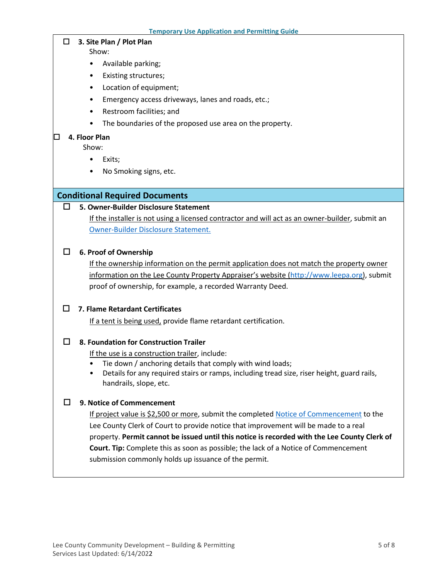#### **3. Site Plan / Plot Plan**

Show:

- Available parking;
- Existing structures;
- Location of equipment;
- Emergency access driveways, lanes and roads, etc.;
- Restroom facilities; and
- The boundaries of the proposed use area on the property.

#### **4. Floor Plan**

Show:

- Exits;
- No Smoking signs, etc.

### **Conditional Required Documents**

### **5. Owner-Builder Disclosure Statement**

If the installer is not using a licensed contractor and will act as an owner-builder, submit an [Owner-Builder Disclosure Statement.](https://www.leegov.com/dcd/PermittingDocs/OwnerBldrDisclosure.pdf)

#### **6. Proof of Ownership**

If the ownership information on the permit application does not match the property owner information on the Lee County Property Appraiser's website [\(http://www.leepa.org\)](http://www.leepa.org/), submit proof of ownership, for example, a recorded Warranty Deed.

#### **7. Flame Retardant Certificates**

If a tent is being used, provide flame retardant certification.

### **8. Foundation for Construction Trailer**

If the use is a construction trailer, include:

- Tie down / anchoring details that comply with wind loads;
- Details for any required stairs or ramps, including tread size, riser height, guard rails, handrails, slope, etc.

### **9. Notice of Commencement**

If project value is \$2,500 or more, submit the complete[d Notice of Commencement](https://www.leegov.com/dcd/PermittingDocs/NoticeofCommencement.pdf) to the Lee County Clerk of Court to provide notice that improvement will be made to a real property. **Permit cannot be issued until this notice is recorded with the Lee County Clerk of Court. Tip:** Complete this as soon as possible; the lack of a Notice of Commencement submission commonly holds up issuance of the permit.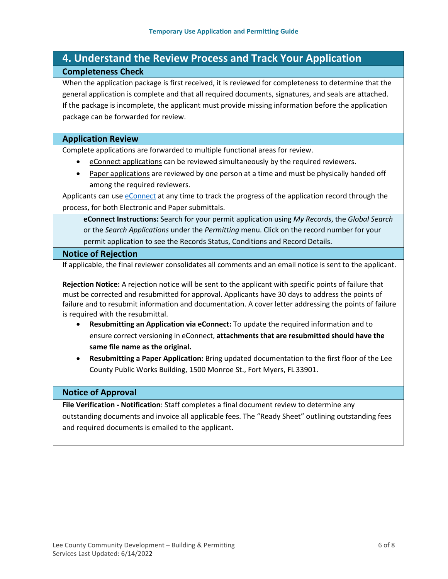## <span id="page-5-0"></span>**4. Understand the Review Process and Track Your Application Completeness Check**

When the application package is first received, it is reviewed for completeness to determine that the general application is complete and that all required documents, signatures, and seals are attached. If the package is incomplete, the applicant must provide missing information before the application package can be forwarded for review.

#### **Application Review**

Complete applications are forwarded to multiple functional areas for review.

- eConnect applications can be reviewed simultaneously by the required reviewers.
- Paper applications are reviewed by one person at a time and must be physically handed off among the required reviewers.

Applicants can us[e eConnect](https://accelaaca.leegov.com/aca/) at any time to track the progress of the application record through the process, for both Electronic and Paper submittals.

**eConnect Instructions:** Search for your permit application using *My Records*, the *Global Search* or the *Search Applications* under the *Permitting* menu. Click on the record number for your permit application to see the Records Status, Conditions and Record Details.

#### **Notice of Rejection**

If applicable, the final reviewer consolidates all comments and an email notice is sent to the applicant.

**Rejection Notice:** A rejection notice will be sent to the applicant with specific points of failure that must be corrected and resubmitted for approval. Applicants have 30 days to address the points of failure and to resubmit information and documentation. A cover letter addressing the points of failure is required with the resubmittal.

- **Resubmitting an Application via eConnect:** To update the required information and to ensure correct versioning in eConnect, **attachments that are resubmitted should have the same file name as the original.**
- **Resubmitting a Paper Application:** Bring updated documentation to the first floor of the Lee County Public Works Building, 1500 Monroe St., Fort Myers, FL 33901.

#### **Notice of Approval**

**File Verification - Notification**: Staff completes a final document review to determine any outstanding documents and invoice all applicable fees. The "Ready Sheet" outlining outstanding fees and required documents is emailed to the applicant.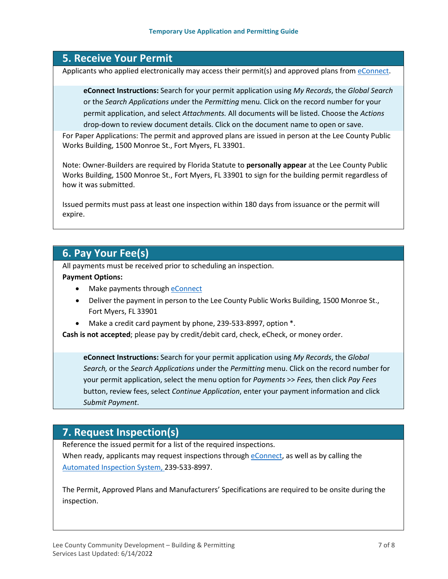## <span id="page-6-0"></span>**5. Receive Your Permit**

Applicants who applied electronically may access their permit(s) and approved plans from [eConnect.](https://accelaaca.leegov.com/aca/)

**eConnect Instructions:** Search for your permit application using *My Records*, the *Global Search*  or the *Search Applications u*nder the *Permitting* menu. Click on the record number for your permit application, and select *Attachments.* All documents will be listed. Choose the *Actions* drop-down to review document details. Click on the document name to open or save.

For Paper Applications: The permit and approved plans are issued in person at the Lee County Public Works Building, 1500 Monroe St., Fort Myers, FL 33901.

Note: Owner-Builders are required by Florida Statute to **personally appear** at the Lee County Public Works Building, 1500 Monroe St., Fort Myers, FL 33901 to sign for the building permit regardless of how it was submitted.

Issued permits must pass at least one inspection within 180 days from issuance or the permit will expire.

## <span id="page-6-1"></span>**6. Pay Your Fee(s)**

All payments must be received prior to scheduling an inspection.

**Payment Options:**

- Make payments through [eConnect](https://accelaaca.leegov.com/aca/)
- Deliver the payment in person to the Lee County Public Works Building, 1500 Monroe St., Fort Myers, FL 33901
- Make a credit card payment by phone, 239-533-8997, option  $*$ .

**Cash is not accepted**; please pay by credit/debit card, check, eCheck, or money order.

**eConnect Instructions:** Search for your permit application using *My Records*, the *Global Search,* or the *Search Applications* under the *Permitting* menu. Click on the record number for your permit application, select the menu option for *Payments* >> *Fees,* then click *Pay Fees*  button, review fees, select *Continue Application*, enter your payment information and click *Submit Payment*.

## <span id="page-6-2"></span>**7. Request Inspection(s)**

Reference the issued permit for a list of the required inspections. When ready, applicants may request inspections through [eConnect, a](https://accelaaca.leegov.com/aca/)s well as by calling the [Automated Inspection System,](https://www.leegov.com/dcd/BldPermitServ/Insp/AutoInsp) 239-533-8997.

The Permit, Approved Plans and Manufacturers' Specifications are required to be onsite during the inspection.